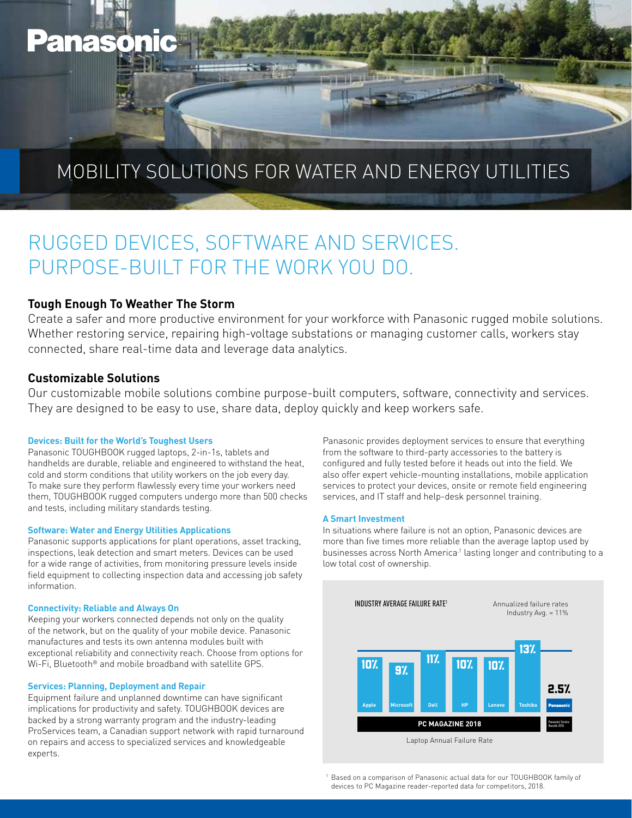# **Panasonic**

# MOBILITY SOLUTIONS FOR WATER AND ENERGY UTILITIES

# RUGGED DEVICES, SOFTWARE AND SERVICES. PURPOSE-BUILT FOR THE WORK YOU DO.

### **Tough Enough To Weather The Storm**

Create a safer and more productive environment for your workforce with Panasonic rugged mobile solutions. Whether restoring service, repairing high-voltage substations or managing customer calls, workers stay connected, share real-time data and leverage data analytics.

### **Customizable Solutions**

Our customizable mobile solutions combine purpose-built computers, software, connectivity and services. They are designed to be easy to use, share data, deploy quickly and keep workers safe.

#### **Devices: Built for the World's Toughest Users**

Panasonic TOUGHBOOK rugged laptops, 2-in-1s, tablets and handhelds are durable, reliable and engineered to withstand the heat, cold and storm conditions that utility workers on the job every day. To make sure they perform flawlessly every time your workers need them, TOUGHBOOK rugged computers undergo more than 500 checks and tests, including military standards testing.

#### **Software: Water and Energy Utilities Applications**

Panasonic supports applications for plant operations, asset tracking, inspections, leak detection and smart meters. Devices can be used for a wide range of activities, from monitoring pressure levels inside field equipment to collecting inspection data and accessing job safety information.

#### **Connectivity: Reliable and Always On**

Keeping your workers connected depends not only on the quality of the network, but on the quality of your mobile device. Panasonic manufactures and tests its own antenna modules built with exceptional reliability and connectivity reach. Choose from options for Wi-Fi, Bluetooth® and mobile broadband with satellite GPS.

#### **Services: Planning, Deployment and Repair**

Equipment failure and unplanned downtime can have significant implications for productivity and safety. TOUGHBOOK devices are backed by a strong warranty program and the industry-leading ProServices team, a Canadian support network with rapid turnaround on repairs and access to specialized services and knowledgeable experts.

Panasonic provides deployment services to ensure that everything from the software to third-party accessories to the battery is configured and fully tested before it heads out into the field. We also offer expert vehicle-mounting installations, mobile application services to protect your devices, onsite or remote field engineering services, and IT staff and help-desk personnel training.

#### **A Smart Investment**

In situations where failure is not an option, Panasonic devices are more than five times more reliable than the average laptop used by businesses across North America<sup>1</sup> lasting longer and contributing to a low total cost of ownership.



Based on a comparison of Panasonic actual data for our TOUGHBOOK family of devices to PC Magazine reader-reported data for competitors, 2018.